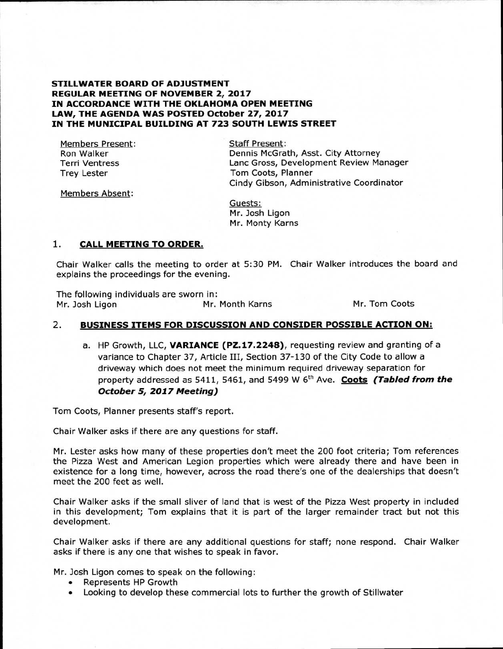#### **STILLWATER BOARD OF ADJUSTMENT REGULAR MEETING OF NOVEMBER 2, 2017 IN ACCORDANCE WITH THE OKLAHOMA OPEN MEETING LAW, THE AGENDA WAS POSTED October 27, 2017 IN THE MUNICIPAL BUILDING AT 723 SOUTH LEWIS STREET**

Members Present: Ron Walker Terri Ventress Trey Lester

Staff Present: Dennis McGrath, Asst. City Attorney Lanc Gross, Development Review Manager Tom Coots, Planner Cindy Gibson, Administrative Coordinator

Members Absent:

Guests: Mr. Josh Ligon Mr. Monty Karns

## **1. CALL MEETING TO ORDER.**

Chair Walker calls the meeting to order at 5:30 PM. Chair Walker introduces the board and explains the proceedings for the evening.

The following individuals are sworn in:<br>Mr. Josh Ligon Mr. Mr. Month Karns Mr. Tom Coots

## 2. **BUSINESS ITEMS FOR DISCUSSION AND CONSIDER POSSIBLE ACTION ON:**

a. HP Growth, LLC, **VARIANCE (PZ.17.2248),** requesting review and granting of a variance to Chapter 37, Article III, Section 37-130 of the City Code to allow a driveway which does not meet the minimum required driveway separation for property addressed as 5411, 5461, and 5499 W 6<sup>th</sup> Ave. **Coots (Tabled from the October 5, 2017 Meeting)** 

Tom Coots, Planner presents staff's report.

Chair Walker asks if there are any questions for staff.

Mr. Lester asks how many of these properties don't meet the 200 foot criteria; Tom references the Pizza West and American Legion properties which were already there and have been in existence for a long time, however, across the road there's one of the dealerships that doesn't meet the 200 feet as well.

Chair Walker asks if the small sliver of land that is west of the Pizza West property in included in this development; Tom explains that it is part of the larger remainder tract but not this development.

Chair Walker asks if there are any additional questions for staff; none respond. Chair Walker asks if there is any one that wishes to speak in favor.

Mr. Josh Ligon comes to speak on the following:

- Represents HP Growth
- Looking to develop these commercial lots to further the growth of Stillwater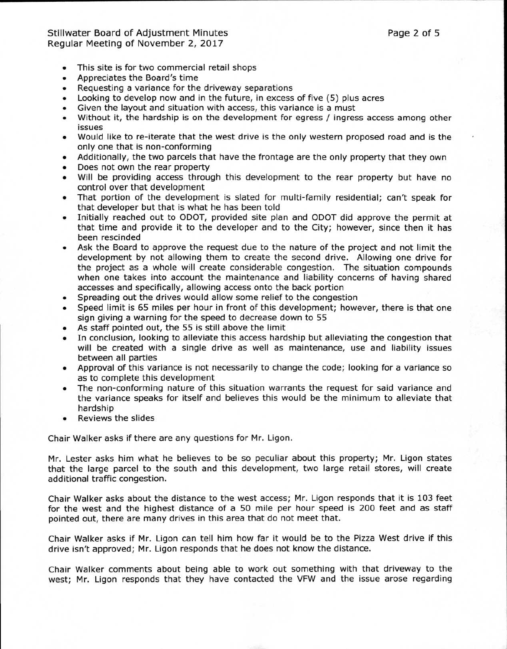# Stillwater Board of Adjustment Minutes **Page 2 of 5** and 2 of 5 Regular Meeting of November 2, 2017

- This site is for two commercial retail shops
- Appreciates the Board's time
- Requesting a variance for the driveway separations
- Looking to develop now and in the future, in excess of five (5) plus acres
- Given the layout and situation with access, this variance is a must
- Without it, the hardship is on the development for egress / ingress access among other issues
- Would like to re-iterate that the west drive is the only western proposed road and is the only one that is non-conforming
- Additionally, the two parcels that have the frontage are the only property that they own
- Does not own the rear property
- Will be providing access through this development to the rear property but have no control over that development
- That portion of the development is slated for multi-family residential; can't speak for that developer but that is what he has been told
- Initially reached out to ODOT, provided site plan and ODOT did approve the permit at that time and provide it to the developer and to the City; however, since then it has been rescinded
- Ask the Board to approve the request due to the nature of the project and not limit the development by not allowing them to create the second drive. Allowing one drive for the project as a whole will create considerable congestion. The situation compounds when one takes into account the maintenance and liability concerns of having shared accesses and specifically, allowing access onto the back portion
- Spreading out the drives would allow some relief to the congestion
- Speed limit is 65 miles per hour in front of this development; however, there is that one sign giving a warning for the speed to decrease down to 55
- As staff pointed out, the 55 is still above the limit
- In conclusion, looking to alleviate this access hardship but alleviating the congestion that will be created with a single drive as well as maintenance, use and liability issues between all parties
- Approval of this variance is not necessarily to change the code; looking for a variance so as to complete this development
- The non-conforming nature of this situation warrants the request for said variance and the variance speaks for itself and believes this would be the minimum to alleviate that hardship
- Reviews the slides

Chair Walker asks if there are any questions for Mr. Ligon.

Mr. Lester asks him what he believes to be so peculiar about this property; Mr. Ligon states that the large parcel to the south and this development, two large retail stores, will create additional traffic congestion.

Chair Walker asks about the distance to the west access; Mr. Ligon responds that it is 103 feet for the west and the highest distance of a 50 mile per hour speed is 200 feet and as staff pointed out, there are many drives in this area that do not meet that.

Chair Walker asks if Mr. Ligon can tell him how far it would be to the Pizza West drive if this drive isn't approved; Mr. Ligon responds that he does not know the distance.

Chair Walker comments about being able to work out something with that driveway to the west; Mr. Ligon responds that they have contacted the VFW and the issue arose regarding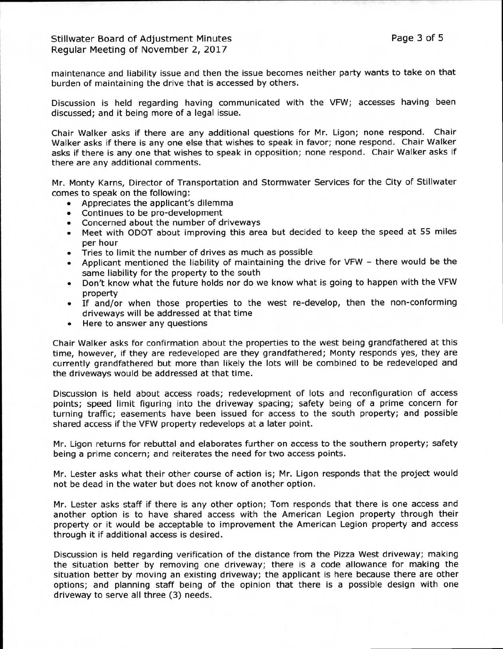# Stillwater Board of Adjustment Minutes **Page 3 of 5** and Page 3 of 5 Regular Meeting of November 2, 2017

maintenance and liability issue and then the issue becomes neither party wants to take on that burden of maintaining the drive that is accessed by others.

Discussion is held regarding having communicated with the VFW; accesses having been discussed; and it being more of a legal issue.

Chair Walker asks if there are any additional questions for Mr. Ligon; none respond. Chair Walker asks if there is any one else that wishes to speak in favor; none respond. Chair Walker asks if there is any one that wishes to speak in opposition; none respond. Chair Walker asks if there are any additional comments.

Mr. Monty Karns, Director of Transportation and Stormwater Services for the City of Stillwater comes to speak on the following:

- Appreciates the applicant's dilemma
- Continues to be pro-development
- Concerned about the number of driveways
- Meet with ODOT about improving this area but decided to keep the speed at 55 miles per hour
- Tries to limit the number of drives as much as possible
- Applicant mentioned the liability of maintaining the drive for VFW there would be the same liability for the property to the south
- Don't know what the future holds nor do we know what is going to happen with the VFW property
- If and/or when those properties to the west re-develop, then the non-conforming driveways will be addressed at that time
- Here to answer any questions

Chair Walker asks for confirmation about the properties to the west being grandfathered at this time, however, if they are redeveloped are they grandfathered; Monty responds yes, they are currently grandfathered but more than likely the lots will be combined to be redeveloped and the driveways would be addressed at that time.

Discussion is held about access roads; redevelopment of lots and reconfiguration of access points; speed limit figuring into the driveway spacing; safety being of a prime concern for turning traffic; easements have been issued for access to the south property; and possible shared access if the VFW property redevelops at a later point.

Mr. Ligon returns for rebuttal and elaborates further on access to the southern property; safety being a prime concern; and reiterates the need for two access points.

Mr. Lester asks what their other course of action is; Mr. Ligon responds that the project would not be dead in the water but does not know of another option.

Mr. Lester asks staff if there is any other option; Tom responds that there is one access and another option is to have shared access with the American Legion property through their property or it would be acceptable to improvement the American Legion property and access through it if additional access is desired.

Discussion is held regarding verification of the distance from the Pizza West driveway; making the situation better by removing one driveway; there is a code allowance for making the situation better by moving an existing driveway; the applicant is here because there are other options; and planning staff being of the opinion that there is a possible design with one driveway to serve all three (3) needs.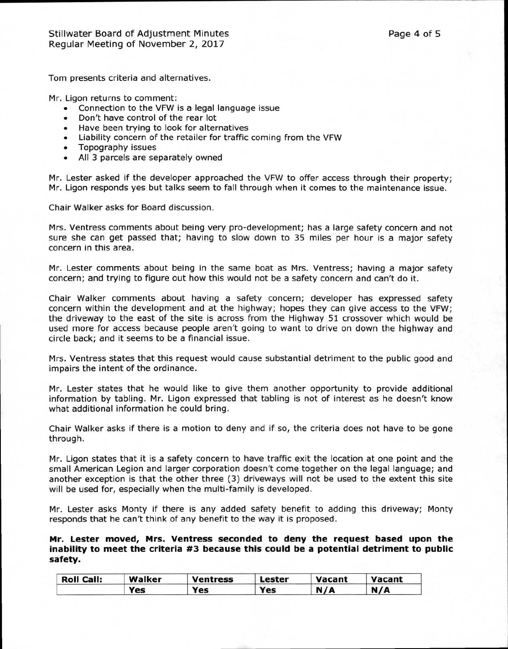Tom presents criteria and alternatives.

Mr. Ligon returns to comment:

- Connection to the VFW is a legal language issue
- Don't have control of the rear lot
- Have been trying to look for alternatives
- Liability concern of the retailer for traffic coming from the VFW
- Topography issues
- All 3 parcels are separately owned

Mr. Lester asked if the developer approached the VFW to offer access through their property; Mr. Ligon responds yes but talks seem to fall through when it comes to the maintenance issue.

Chair Walker asks for Board discussion.

Mrs. Ventress comments about being very pro-development; has a large safety concern and not sure she can get passed that; having to slow down to 35 miles per hour is a major safety concern in this area.

Mr. Lester comments about being in the same boat as Mrs. Ventress; having a major safety concern; and trying to figure out how this would not be a safety concern and can't do it.

Chair Walker comments about having a safety concern; developer has expressed safety concern within the development and at the highway; hopes they can give access to the VFW; the driveway to the east of the site is across from the Highway 51 crossover which would be used more for access because people aren't going to want to drive on down the highway and circle back; and it seems to be a financial issue.

Mrs. Ventress states that this request would cause substantial detriment to the public good and impairs the intent of the ordinance.

Mr. Lester states that he would like to give them another opportunity to provide additional information by tabling. Mr. Ligon expressed that tabling is not of interest as he doesn't know what additional information he could bring.

Chair Walker asks if there is a motion to deny and if so, the criteria does not have to be gone through.

Mr. Ligon states that it is a safety concern to have traffic exit the location at one point and the small American Legion and larger corporation doesn't come together on the legal language; and another exception is that the other three (3) driveways will not be used to the extent this site will be used for, especially when the multi-family is developed.

Mr. Lester asks Monty if there is any added safety benefit to adding this driveway; Monty responds that he can't think of any benefit to the way it is proposed.

**Mr. Lester moved, Mrs. Ventress seconded to deny the request based upon the inability to meet the criteria #3 because this could be a potential detriment to public safety.** 

| <b>Roll Call:</b> | Walker | Ventress | Lester | Vacant | Vacant |
|-------------------|--------|----------|--------|--------|--------|
|                   | Yes    | Yes      | Yes    | N/A    | N/A    |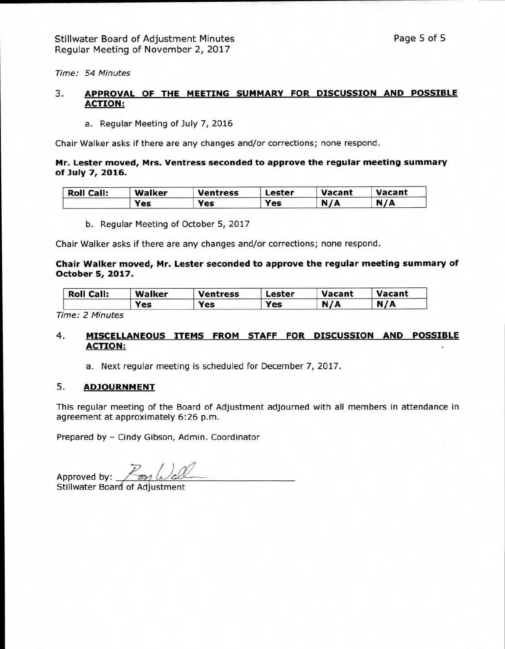Time: 54 Minutes

### 3. **APPROVAL OF THE MEETING SUMMARY FOR DISCUSSION AND POSSIBLE ACTION:**

a. Regular Meeting of July 7, 2016

Chair Walker asks if there are any changes and/or corrections; none respond.

#### **Mr. Lester moved, Mrs. Ventress seconded to approve the regular meeting summary of July 7, 2016.**

| <b>Roll Call:</b> | Walker | <b>Ventress</b> | Lester | Vacant | Vacant |
|-------------------|--------|-----------------|--------|--------|--------|
|                   | Yes    | Yes             | Yes    | N/A    | N/A    |

b. Regular Meeting of October 5, 2017

Chair Walker asks if there are any changes and/or corrections; none respond.

#### **Chair Walker moved, Mr. Lester seconded to approve the regular meeting summary of October 5, 2017.**

| <b>Roll Call:</b> | Walker | Ventress | Lester | <b>Vacant</b> | <b>Vacant</b> |
|-------------------|--------|----------|--------|---------------|---------------|
|                   | Yes    | Yes      | Yes    | N/A           | N/A           |

Time: 2 Minutes

# **4. MISCELLANEOUS ITEMS FROM STAFF FOR DISCUSSION AND POSSIBLE ACTION:**

a. Next regular meeting is scheduled for December 7, 2017.

### **5. ADJOURNMENT**

This regular meeting of the Board of Adjustment adjourned with all members in attendance in agreement at approximately 6:26 p.m.

Prepared by - Cindy Gibson, Admin. Coordinator

Approved by:  $\sqrt{\frac{m}{m}}$ 

Stillwater Board of Adjustment